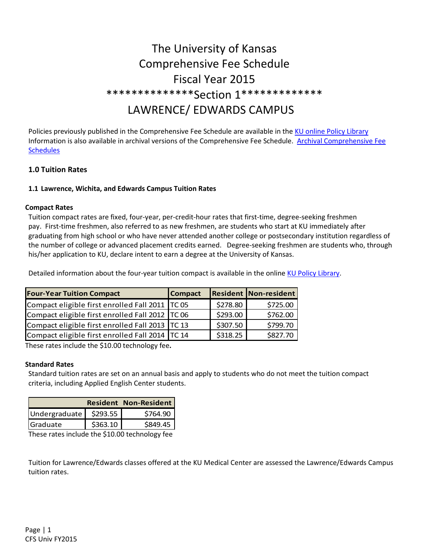# The University of Kansas Comprehensive Fee Schedule Fiscal Year 2015 \*\*\*\*\*\*\*\*\*\*\*\*\*\*Section 1\*\*\*\*\*\*\*\*\*\*\*\*\* LAWRENCE/ EDWARDS CAMPUS

Policies previously published in the Comprehensive Fee Schedule are available in the KU online Policy Library Information is also available in archival versions of the Comprehensive Fee Schedule. Archival Comprehensive Fee Schedules

# **1.0 Tuition Rates**

#### **1.1 Lawrence, Wichita, and Edwards Campus Tuition Rates**

#### **Compact Rates**

Tuition compact rates are fixed, four-year, per-credit-hour rates that first-time, degree-seeking freshmen pay. First-time freshmen, also referred to as new freshmen, are students who start at KU immediately after graduating from high school or who have never attended another college or postsecondary institution regardless of the number of college or advanced placement credits earned. Degree-seeking freshmen are students who, through his/her application to KU, declare intent to earn a degree at the University of Kansas.

Detailed information about the four-year tuition compact is available in the online KU Policy Library.

| <b>Four-Year Tuition Compact</b>                  | <b>Compact</b> |          | <b>Resident Non-resident</b> |
|---------------------------------------------------|----------------|----------|------------------------------|
| Compact eligible first enrolled Fall 2011   TC 05 |                | \$278.80 | \$725.00                     |
| Compact eligible first enrolled Fall 2012   TC 06 |                | \$293.00 | \$762.00                     |
| Compact eligible first enrolled Fall 2013   TC 13 |                | \$307.50 | \$799.70                     |
| Compact eligible first enrolled Fall 2014 TC 14   |                | \$318.25 | \$827.70                     |

These rates include the \$10.00 technology fee**.** 

#### **Standard Rates**

Standard tuition rates are set on an annual basis and apply to students who do not meet the tuition compact criteria, including Applied English Center students.

| <b>Resident Non-Resident</b> |          |          |
|------------------------------|----------|----------|
| Undergraduate   \$293.55     |          | \$764.90 |
| Graduate                     | \$363.10 | \$849.45 |

These rates include the \$10.00 technology fee

Tuition for Lawrence/Edwards classes offered at the KU Medical Center are assessed the Lawrence/Edwards Campus tuition rates.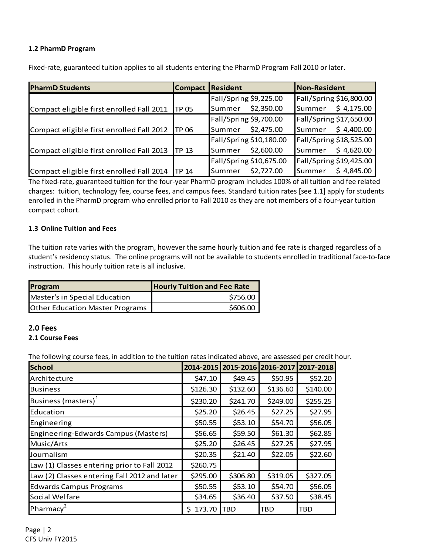#### **1.2 PharmD Program**

| <b>PharmD Students</b>                    |                   | <b>Compact Resident</b> | <b>Non-Resident</b>            |
|-------------------------------------------|-------------------|-------------------------|--------------------------------|
|                                           |                   | Fall/Spring \$9,225.00  | Fall/Spring \$16,800.00        |
| Compact eligible first enrolled Fall 2011 | TP 05             | Summer \$2,350.00       | Summer \$4,175.00              |
|                                           |                   | Fall/Spring \$9,700.00  | Fall/Spring \$17,650.00        |
| Compact eligible first enrolled Fall 2012 | <b>ITP 06</b>     | Summer \$2,475.00       | Summer \$4,400.00              |
|                                           |                   | Fall/Spring \$10,180.00 | <b>Fall/Spring \$18,525.00</b> |
| Compact eligible first enrolled Fall 2013 | ITP <sub>13</sub> | \$2,600.00<br>Summer    | \$4,620.00<br>Summer           |
|                                           |                   | Fall/Spring \$10,675.00 | Fall/Spring \$19,425.00        |
| Compact eligible first enrolled Fall 2014 | TP <sub>14</sub>  | \$2,727.00<br>Summer    | \$4,845.00<br>Summer           |

Fixed-rate, guaranteed tuition applies to all students entering the PharmD Program Fall 2010 or later.

The fixed-rate, guaranteed tuition for the four-year PharmD program includes 100% of all tuition and fee related charges: tuition, technology fee, course fees, and campus fees. Standard tuition rates [see 1.1] apply for students enrolled in the PharmD program who enrolled prior to Fall 2010 as they are not members of a four-year tuition compact cohort.

# **1.3 Online Tuition and Fees**

The tuition rate varies with the program, however the same hourly tuition and fee rate is charged regardless of a student's residency status. The online programs will not be available to students enrolled in traditional face-to-face instruction. This hourly tuition rate is all inclusive.

| Program                                | <b>Hourly Tuition and Fee Rate</b> |
|----------------------------------------|------------------------------------|
| Master's in Special Education          | \$756.00                           |
| <b>Other Education Master Programs</b> | \$606.00                           |

#### **2.0 Fees**

#### **2.1 Course Fees**

The following course fees, in addition to the tuition rates indicated above, are assessed per credit hour.

| <b>School</b>                                | 2014-2015   | 2015-2016 | 2016-2017 | 2017-2018 |
|----------------------------------------------|-------------|-----------|-----------|-----------|
| Architecture                                 | \$47.10     | \$49.45   | \$50.95   | \$52.20   |
| <b>Business</b>                              | \$126.30    | \$132.60  | \$136.60  | \$140.00  |
| Business (masters) <sup>1</sup>              | \$230.20    | \$241.70  | \$249.00  | \$255.25  |
| Education                                    | \$25.20     | \$26.45   | \$27.25   | \$27.95   |
| Engineering                                  | \$50.55     | \$53.10   | \$54.70   | \$56.05   |
| Engineering-Edwards Campus (Masters)         | \$56.65     | \$59.50   | \$61.30   | \$62.85   |
| Music/Arts                                   | \$25.20     | \$26.45   | \$27.25   | \$27.95   |
| Journalism                                   | \$20.35     | \$21.40   | \$22.05   | \$22.60   |
| Law (1) Classes entering prior to Fall 2012  | \$260.75    |           |           |           |
| Law (2) Classes entering Fall 2012 and later | \$295.00    | \$306.80  | \$319.05  | \$327.05  |
| <b>Edwards Campus Programs</b>               | \$50.55     | \$53.10   | \$54.70   | \$56.05   |
| Social Welfare                               | \$34.65     | \$36.40   | \$37.50   | \$38.45   |
| Pharmacy <sup>2</sup>                        | 173.70<br>S | TBD       | TBD       | TBD       |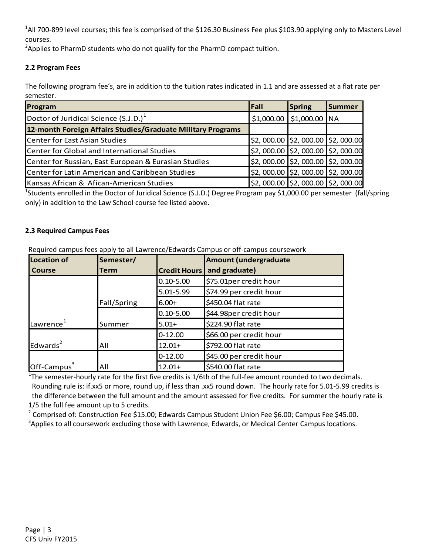<sup>1</sup>All 700-899 level courses; this fee is comprised of the \$126.30 Business Fee plus \$103.90 applying only to Masters Level courses.

<sup>2</sup>Applies to PharmD students who do not qualify for the PharmD compact tuition.

# **2.2 Program Fees**

The following program fee's, are in addition to the tuition rates indicated in 1.1 and are assessed at a flat rate per semester.

| Program                                                     | <b>Fall</b> | Spring                                                   | <b>Summer</b> |
|-------------------------------------------------------------|-------------|----------------------------------------------------------|---------------|
| Doctor of Juridical Science (S.J.D.) <sup>1</sup>           |             | $$1,000.00$ $$1,000.00$ NA                               |               |
| 12-month Foreign Affairs Studies/Graduate Military Programs |             |                                                          |               |
| <b>Center for East Asian Studies</b>                        |             | \$2,000.00 \$2,000.00 \$2,000.00                         |               |
| Center for Global and International Studies                 |             | $$2,000.00$ $$2,000.00$ $$2,000.00$                      |               |
| Center for Russian, East European & Eurasian Studies        |             | $\vert$ \$2,000.00 $\vert$ \$2,000.00 $\vert$ \$2,000.00 |               |
| Center for Latin American and Caribbean Studies             |             | $$2,000.00$ $$2,000.00$ $$2,000.00$                      |               |
| Kansas African & Afican-American Studies                    |             | $$2,000.00$ $$2,000.00$ $$2,000.00$                      |               |

<sup>1</sup>Students enrolled in the Doctor of Juridical Science (S.J.D.) Degree Program pay \$1,000.00 per semester (fall/spring only) in addition to the Law School course fee listed above.

# **2.3 Required Campus Fees**

| <b>Location of</b>    | Semester/   |                     | Amount (undergraduate   |
|-----------------------|-------------|---------------------|-------------------------|
| <b>Course</b>         | Term        | <b>Credit Hours</b> | and graduate)           |
|                       |             | $0.10 - 5.00$       | \$75.01per credit hour  |
|                       |             | 5.01-5.99           | \$74.99 per credit hour |
|                       | Fall/Spring | $6.00+$             | \$450.04 flat rate      |
|                       |             | $0.10 - 5.00$       | \$44.98per credit hour  |
| Lawrence <sup>1</sup> | Summer      | $5.01+$             | \$224.90 flat rate      |
|                       |             | $0 - 12.00$         | \$66.00 per credit hour |
| Edwards $2$           | All         | $12.01+$            | \$792.00 flat rate      |
|                       |             | $0 - 12.00$         | \$45.00 per credit hour |
| Off-Campus $3$        | All         | $12.01+$            | \$540.00 flat rate      |

Required campus fees apply to all Lawrence/Edwards Campus or off-campus coursework

<sup>1</sup>The semester-hourly rate for the first five credits is  $1/6$ th of the full-fee amount rounded to two decimals. Rounding rule is: if.xx5 or more, round up, if less than .xx5 round down. The hourly rate for 5.01-5.99 credits is the difference between the full amount and the amount assessed for five credits. For summer the hourly rate is 1/5 the full fee amount up to 5 credits.

<sup>2</sup> Comprised of: Construction Fee \$15.00; Edwards Campus Student Union Fee \$6.00; Campus Fee \$45.00.  $3$ Applies to all coursework excluding those with Lawrence, Edwards, or Medical Center Campus locations.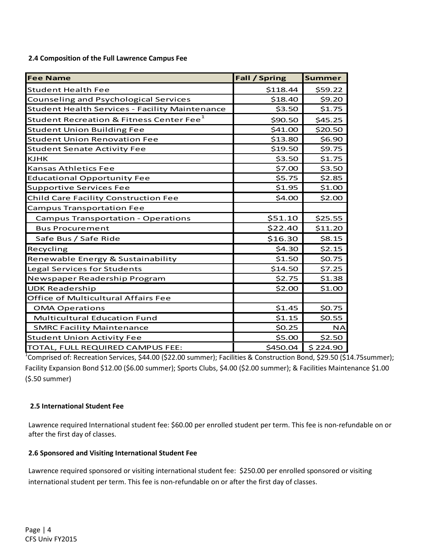**2.4 Composition of the Full Lawrence Campus Fee** 

| <b>Fee Name</b>                                       | <b>Fall / Spring</b> | <b>Summer</b> |
|-------------------------------------------------------|----------------------|---------------|
| <b>Student Health Fee</b>                             | \$118.44             | \$59.22       |
| <b>Counseling and Psychological Services</b>          | \$18.40              | \$9.20        |
| <b>Student Health Services - Facility Maintenance</b> | \$3.50               | \$1.75        |
| Student Recreation & Fitness Center Fee <sup>1</sup>  | \$90.50              | \$45.25       |
| <b>Student Union Building Fee</b>                     | \$41.00              | \$20.50       |
| <b>Student Union Renovation Fee</b>                   | \$13.80              | \$6.90        |
| <b>Student Senate Activity Fee</b>                    | \$19.50              | \$9.75        |
| <b>KJHK</b>                                           | \$3.50               | \$1.75        |
| Kansas Athletics Fee                                  | \$7.00               | \$3.50        |
| <b>Educational Opportunity Fee</b>                    | \$5.75               | \$2.85        |
| <b>Supportive Services Fee</b>                        | \$1.95               | \$1.00        |
| Child Care Facility Construction Fee                  | \$4.00               | \$2.00        |
| <b>Campus Transportation Fee</b>                      |                      |               |
| <b>Campus Transportation - Operations</b>             | \$51.10              | \$25.55       |
| <b>Bus Procurement</b>                                | \$22.40              | \$11.20       |
| Safe Bus / Safe Ride                                  | \$16.30              | \$8.15        |
| Recycling                                             | \$4.30               | \$2.15        |
| Renewable Energy & Sustainability                     | \$1.50               | \$0.75        |
| Legal Services for Students                           | \$14.50              | \$7.25        |
| Newspaper Readership Program                          | \$2.75               | \$1.38        |
| <b>UDK Readership</b>                                 | \$2.00               | \$1.00        |
| Office of Multicultural Affairs Fee                   |                      |               |
| <b>OMA Operations</b>                                 | \$1.45               | \$0.75        |
| <b>Multicultural Education Fund</b>                   | \$1.15               | \$0.55        |
| <b>SMRC Facility Maintenance</b>                      | \$0.25               | <b>NA</b>     |
| <b>Student Union Activity Fee</b>                     | \$5.00               | \$2.50        |
| TOTAL, FULL REQUIRED CAMPUS FEE:                      | \$450.04             | \$224.90      |

<sup>1</sup>Comprised of: Recreation Services, \$44.00 (\$22.00 summer); Facilities & Construction Bond, \$29.50 (\$14.75summer); Facility Expansion Bond \$12.00 (\$6.00 summer); Sports Clubs, \$4.00 (\$2.00 summer); & Facilities Maintenance \$1.00 (\$.50 summer)

#### **2.5 International Student Fee**

Lawrence required International student fee: \$60.00 per enrolled student per term. This fee is non-refundable on or after the first day of classes.

#### **2.6 Sponsored and Visiting International Student Fee**

Lawrence required sponsored or visiting international student fee: \$250.00 per enrolled sponsored or visiting international student per term. This fee is non-refundable on or after the first day of classes.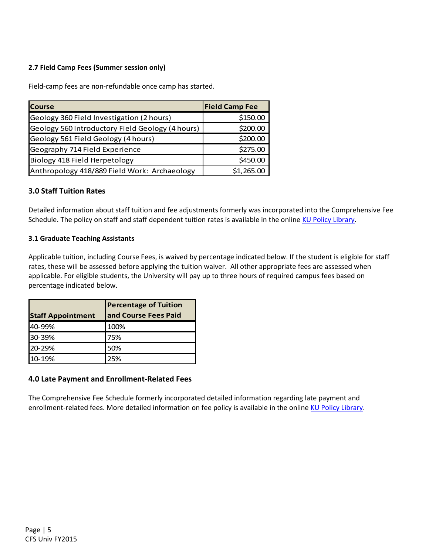# **2.7 Field Camp Fees (Summer session only)**

Field-camp fees are non-refundable once camp has started.

| <b>Course</b>                                    | <b>Field Camp Fee</b> |
|--------------------------------------------------|-----------------------|
| Geology 360 Field Investigation (2 hours)        | \$150.00              |
| Geology 560 Introductory Field Geology (4 hours) | \$200.00              |
| Geology 561 Field Geology (4 hours)              | \$200.00              |
| Geography 714 Field Experience                   | \$275.00              |
| Biology 418 Field Herpetology                    | \$450.00              |
| Anthropology 418/889 Field Work: Archaeology     | \$1,265.00            |

# **3.0 Staff Tuition Rates**

Detailed information about staff tuition and fee adjustments formerly was incorporated into the Comprehensive Fee Schedule. The policy on staff and staff dependent tuition rates is available in the online KU Policy Library.

## **3.1 Graduate Teaching Assistants**

Applicable tuition, including Course Fees, is waived by percentage indicated below. If the student is eligible for staff rates, these will be assessed before applying the tuition waiver. All other appropriate fees are assessed when applicable. For eligible students, the University will pay up to three hours of required campus fees based on percentage indicated below.

| <b>Staff Appointment</b> | <b>Percentage of Tuition</b><br>and Course Fees Paid |
|--------------------------|------------------------------------------------------|
|                          |                                                      |
| 40-99%                   | 100%                                                 |
| 30-39%                   | 75%                                                  |
| 20-29%                   | 50%                                                  |
| 10-19%                   | 25%                                                  |

# **4.0 Late Payment and Enrollment-Related Fees**

The Comprehensive Fee Schedule formerly incorporated detailed information regarding late payment and enrollment-related fees. More detailed information on fee policy is available in the online KU Policy Library.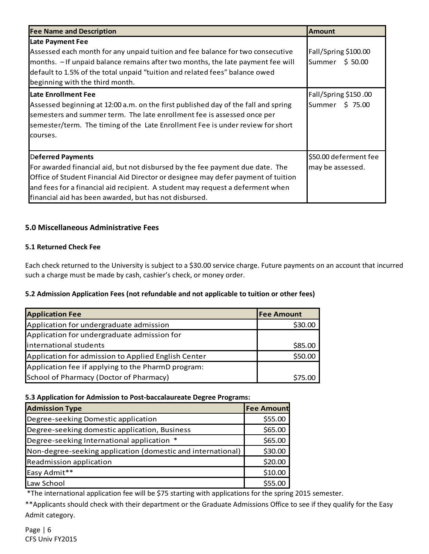| <b>Fee Name and Description</b>                                                                                                                                                                                                                                                                                                            | <b>Amount</b>                             |
|--------------------------------------------------------------------------------------------------------------------------------------------------------------------------------------------------------------------------------------------------------------------------------------------------------------------------------------------|-------------------------------------------|
| <b>Late Payment Fee</b><br>Assessed each month for any unpaid tuition and fee balance for two consecutive<br>months. - If unpaid balance remains after two months, the late payment fee will<br>default to 1.5% of the total unpaid "tuition and related fees" balance owed<br>beginning with the third month.                             | Fall/Spring \$100.00<br>Summer \$50.00    |
| Late Enrollment Fee<br>Assessed beginning at 12:00 a.m. on the first published day of the fall and spring<br>semesters and summer term. The late enrollment fee is assessed once per<br>semester/term. The timing of the Late Enrollment Fee is under review for short<br>courses.                                                         | Fall/Spring \$150.00<br>Summer \$75.00    |
| <b>Deferred Payments</b><br>For awarded financial aid, but not disbursed by the fee payment due date. The<br>Office of Student Financial Aid Director or designee may defer payment of tuition<br>and fees for a financial aid recipient. A student may request a deferment when<br>financial aid has been awarded, but has not disbursed. | \$50.00 deferment fee<br>may be assessed. |

# **5.0 Miscellaneous Administrative Fees**

# **5.1 Returned Check Fee**

Each check returned to the University is subject to a \$30.00 service charge. Future payments on an account that incurred such a charge must be made by cash, cashier's check, or money order.

# **5.2 Admission Application Fees (not refundable and not applicable to tuition or other fees)**

| <b>Application Fee</b>                              | lFee Amount |
|-----------------------------------------------------|-------------|
| Application for undergraduate admission             | \$30.00     |
| Application for undergraduate admission for         |             |
| international students                              | \$85.00     |
| Application for admission to Applied English Center | \$50.00     |
| Application fee if applying to the PharmD program:  |             |
| School of Pharmacy (Doctor of Pharmacy)             | \$75.00     |

#### **5.3 Application for Admission to Post-baccalaureate Degree Programs:**

| <b>Admission Type</b>                                       | <b>Fee Amount</b> |
|-------------------------------------------------------------|-------------------|
| Degree-seeking Domestic application                         | \$55.00           |
| Degree-seeking domestic application, Business               | \$65.00           |
| Degree-seeking International application *                  | \$65.00           |
| Non-degree-seeking application (domestic and international) | \$30.00           |
| Readmission application                                     | \$20.00           |
| Easy Admit**                                                | \$10.00           |
| Law School                                                  |                   |

\*The international application fee will be \$75 starting with applications for the spring 2015 semester.

\*\*Applicants should check with their department or the Graduate Admissions Office to see if they qualify for the Easy Admit category.

Page | 6 CFS Univ FY2015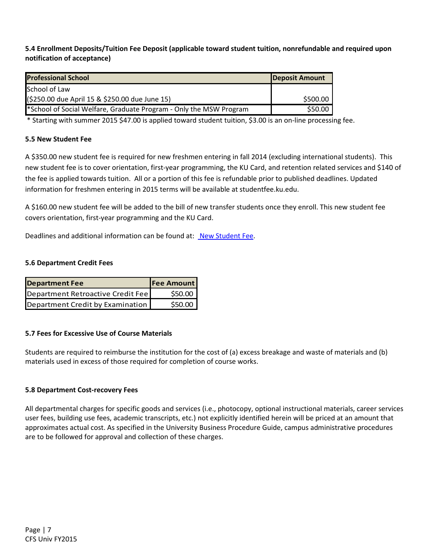# **5.4 Enrollment Deposits/Tuition Fee Deposit (applicable toward student tuition, nonrefundable and required upon notification of acceptance)**

| <b>Professional School</b>                                         | <b>Deposit Amount</b> |
|--------------------------------------------------------------------|-----------------------|
| School of Law                                                      |                       |
| (\$250.00 due April 15 & \$250.00 due June 15)                     | \$500.00              |
| *School of Social Welfare, Graduate Program - Only the MSW Program | \$50.00               |

\* Starting with summer 2015 \$47.00 is applied toward student tuition, \$3.00 is an on-line processing fee.

## **5.5 New Student Fee**

A \$350.00 new student fee is required for new freshmen entering in fall 2014 (excluding international students). This new student fee is to cover orientation, first-year programming, the KU Card, and retention related services and \$140 of the fee is applied towards tuition. All or a portion of this fee is refundable prior to published deadlines. Updated information for freshmen entering in 2015 terms will be available at studentfee.ku.edu.

A \$160.00 new student fee will be added to the bill of new transfer students once they enroll. This new student fee covers orientation, first-year programming and the KU Card.

Deadlines and additional information can be found at: New Student Fee.

## **5.6 Department Credit Fees**

| <b>Department Fee</b>             | <b>Fee Amount</b> |
|-----------------------------------|-------------------|
| Department Retroactive Credit Fee | \$50.00           |
| Department Credit by Examination  | \$50.00           |

#### **5.7 Fees for Excessive Use of Course Materials**

Students are required to reimburse the institution for the cost of (a) excess breakage and waste of materials and (b) materials used in excess of those required for completion of course works.

#### **5.8 Department Cost-recovery Fees**

All departmental charges for specific goods and services (i.e., photocopy, optional instructional materials, career services user fees, building use fees, academic transcripts, etc.) not explicitly identified herein will be priced at an amount that approximates actual cost. As specified in the University Business Procedure Guide, campus administrative procedures are to be followed for approval and collection of these charges.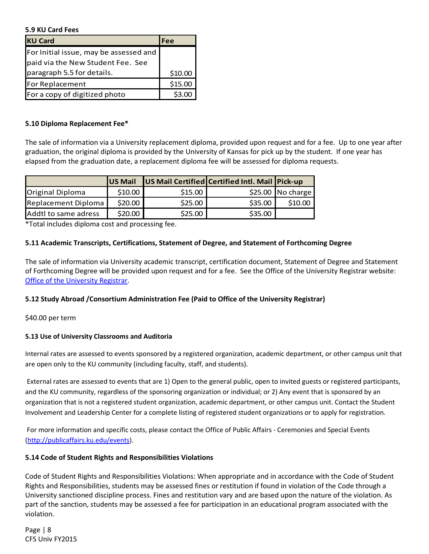#### **5.9 KU Card Fees**

| <b>KU Card</b>                         | Fee     |
|----------------------------------------|---------|
| For Initial issue, may be assessed and |         |
| paid via the New Student Fee. See      |         |
| paragraph 5.5 for details.             | \$10.00 |
| For Replacement                        | \$15.00 |
| For a copy of digitized photo          | \$3.0   |

#### **5.10 Diploma Replacement Fee\***

The sale of information via a University replacement diploma, provided upon request and for a fee. Up to one year after graduation, the original diploma is provided by the University of Kansas for pick up by the student. If one year has elapsed from the graduation date, a replacement diploma fee will be assessed for diploma requests.

|                         | <b>IUS Mail</b> |         | US Mail Certified Certified Intl. Mail Pick-up |                    |
|-------------------------|-----------------|---------|------------------------------------------------|--------------------|
| <b>Original Diploma</b> | \$10.00         | \$15.00 |                                                | $$25.00$ No charge |
| Replacement Diploma     | \$20.00         | \$25.00 | \$35.00                                        | \$10.00            |
| Addtl to same adress    | \$20.00         | \$25.00 | \$35.00                                        |                    |

\*Total includes diploma cost and processing fee.

#### **5.11 Academic Transcripts, Certifications, Statement of Degree, and Statement of Forthcoming Degree**

The sale of information via University academic transcript, certification document, Statement of Degree and Statement of Forthcoming Degree will be provided upon request and for a fee. See the Office of the University Registrar website: Office of the University Registrar.

#### **5.12 Study Abroad /Consortium Administration Fee (Paid to Office of the University Registrar)**

\$40.00 per term

#### **5.13 Use of University Classrooms and Auditoria**

Internal rates are assessed to events sponsored by a registered organization, academic department, or other campus unit that are open only to the KU community (including faculty, staff, and students).

 External rates are assessed to events that are 1) Open to the general public, open to invited guests or registered participants, and the KU community, regardless of the sponsoring organization or individual; or 2) Any event that is sponsored by an organization that is not a registered student organization, academic department, or other campus unit. Contact the Student Involvement and Leadership Center for a complete listing of registered student organizations or to apply for registration.

 For more information and specific costs, please contact the Office of Public Affairs - Ceremonies and Special Events (http://publicaffairs.ku.edu/events).

#### **5.14 Code of Student Rights and Responsibilities Violations**

Code of Student Rights and Responsibilities Violations: When appropriate and in accordance with the Code of Student Rights and Responsibilities, students may be assessed fines or restitution if found in violation of the Code through a University sanctioned discipline process. Fines and restitution vary and are based upon the nature of the violation. As part of the sanction, students may be assessed a fee for participation in an educational program associated with the violation.

Page | 8 CFS Univ FY2015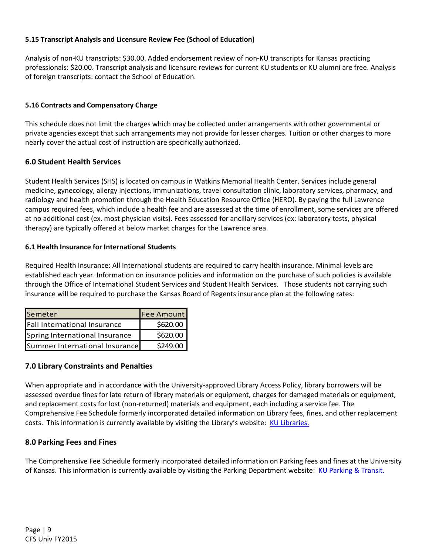## **5.15 Transcript Analysis and Licensure Review Fee (School of Education)**

Analysis of non-KU transcripts: \$30.00. Added endorsement review of non-KU transcripts for Kansas practicing professionals: \$20.00. Transcript analysis and licensure reviews for current KU students or KU alumni are free. Analysis of foreign transcripts: contact the School of Education.

## **5.16 Contracts and Compensatory Charge**

This schedule does not limit the charges which may be collected under arrangements with other governmental or private agencies except that such arrangements may not provide for lesser charges. Tuition or other charges to more nearly cover the actual cost of instruction are specifically authorized.

# **6.0 Student Health Services**

Student Health Services (SHS) is located on campus in Watkins Memorial Health Center. Services include general medicine, gynecology, allergy injections, immunizations, travel consultation clinic, laboratory services, pharmacy, and radiology and health promotion through the Health Education Resource Office (HERO). By paying the full Lawrence campus required fees, which include a health fee and are assessed at the time of enrollment, some services are offered at no additional cost (ex. most physician visits). Fees assessed for ancillary services (ex: laboratory tests, physical therapy) are typically offered at below market charges for the Lawrence area.

#### **6.1 Health Insurance for International Students**

Required Health Insurance: All International students are required to carry health insurance. Minimal levels are established each year. Information on insurance policies and information on the purchase of such policies is available through the Office of International Student Services and Student Health Services. Those students not carrying such insurance will be required to purchase the Kansas Board of Regents insurance plan at the following rates:

| Semeter                        | <b>Fee Amount</b> |
|--------------------------------|-------------------|
| Fall International Insurance   | \$620.00          |
| Spring International Insurance | \$620.00          |
| Summer International Insurance | \$249.00          |

# **7.0 Library Constraints and Penalties**

When appropriate and in accordance with the University-approved Library Access Policy, library borrowers will be assessed overdue fines for late return of library materials or equipment, charges for damaged materials or equipment, and replacement costs for lost (non-returned) materials and equipment, each including a service fee. The Comprehensive Fee Schedule formerly incorporated detailed information on Library fees, fines, and other replacement costs. This information is currently available by visiting the Library's website: KU Libraries.

#### **8.0 Parking Fees and Fines**

The Comprehensive Fee Schedule formerly incorporated detailed information on Parking fees and fines at the University of Kansas. This information is currently available by visiting the Parking Department website: KU Parking & Transit.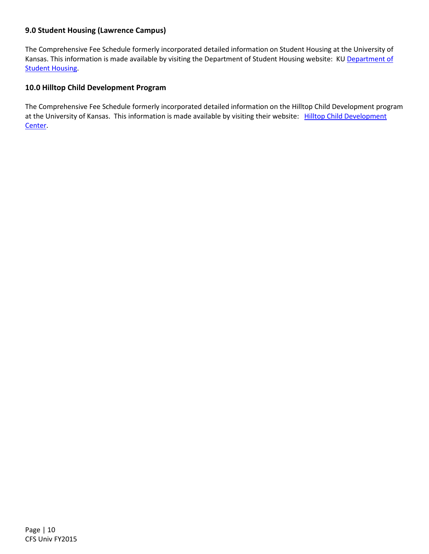# **9.0 Student Housing (Lawrence Campus)**

The Comprehensive Fee Schedule formerly incorporated detailed information on Student Housing at the University of Kansas. This information is made available by visiting the Department of Student Housing website: KU Department of **Student Housing.** 

## **10.0 Hilltop Child Development Program**

The Comprehensive Fee Schedule formerly incorporated detailed information on the Hilltop Child Development program at the University of Kansas. This information is made available by visiting their website: Hilltop Child Development Center.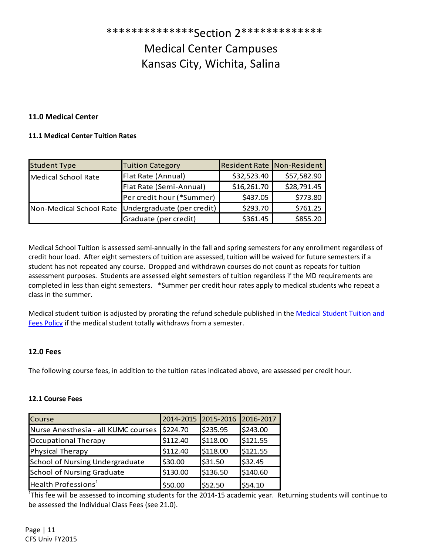\*\*\*\*\*\*\*\*\*\*\*\*\*\*Section 2\*\*\*\*\*\*\*\*\*\*\*\*\* Medical Center Campuses Kansas City, Wichita, Salina

# **11.0 Medical Center**

#### **11.1 Medical Center Tuition Rates**

| <b>Student Type</b>        | <b>Tuition Category</b>    | <b>Resident Rate Non-Resident</b> |             |
|----------------------------|----------------------------|-----------------------------------|-------------|
| <b>Medical School Rate</b> | Flat Rate (Annual)         | \$32,523.40                       | \$57,582.90 |
|                            | Flat Rate (Semi-Annual)    | \$16,261.70                       | \$28,791.45 |
|                            | Per credit hour (*Summer)  | \$437.05                          | \$773.80    |
| Non-Medical School Rate    | Undergraduate (per credit) | \$293.70                          | \$761.25    |
|                            | Graduate (per credit)      | \$361.45                          | \$855.20    |

Medical School Tuition is assessed semi-annually in the fall and spring semesters for any enrollment regardless of credit hour load. After eight semesters of tuition are assessed, tuition will be waived for future semesters if a student has not repeated any course. Dropped and withdrawn courses do not count as repeats for tuition assessment purposes. Students are assessed eight semesters of tuition regardless if the MD requirements are completed in less than eight semesters. \*Summer per credit hour rates apply to medical students who repeat a class in the summer.

Medical student tuition is adjusted by prorating the refund schedule published in the Medical Student Tuition and Fees Policy if the medical student totally withdraws from a semester.

#### **12.0 Fees**

The following course fees, in addition to the tuition rates indicated above, are assessed per credit hour.

#### **12.1 Course Fees**

| Course                              | 2014-2015 2015-2016 |          | 2016-2017 |
|-------------------------------------|---------------------|----------|-----------|
| Nurse Anesthesia - all KUMC courses | \$224.70            | \$235.95 | \$243.00  |
| Occupational Therapy                | \$112.40            | \$118.00 | \$121.55  |
| <b>Physical Therapy</b>             | \$112.40            | \$118.00 | \$121.55  |
| School of Nursing Undergraduate     | \$30.00             | \$31.50  | \$32.45   |
| <b>School of Nursing Graduate</b>   | \$130.00            | \$136.50 | \$140.60  |
| Health Professions <sup>1</sup>     | \$50.00             | \$52.50  | \$54.10   |

 $1$ This fee will be assessed to incoming students for the 2014-15 academic year. Returning students will continue to be assessed the Individual Class Fees (see 21.0).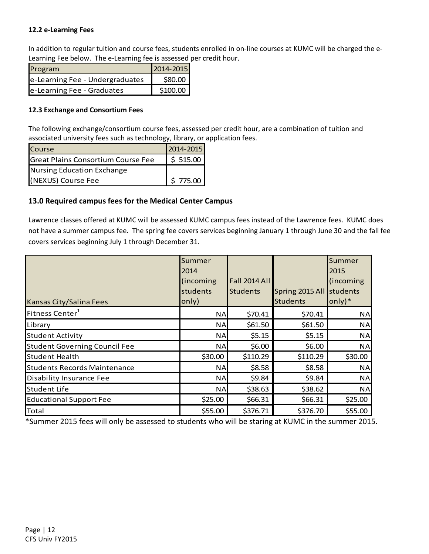## **12.2 e-Learning Fees**

In addition to regular tuition and course fees, students enrolled in on-line courses at KUMC will be charged the e-Learning Fee below. The e-Learning fee is assessed per credit hour.

| Program                         | 2014-2015 |
|---------------------------------|-----------|
| e-Learning Fee - Undergraduates | \$80.00   |
| e-Learning Fee - Graduates      | \$100.00  |

## **12.3 Exchange and Consortium Fees**

The following exchange/consortium course fees, assessed per credit hour, are a combination of tuition and associated university fees such as technology, library, or application fees.

| <b>Course</b>                      | 2014-2015 |
|------------------------------------|-----------|
| Great Plains Consortium Course Fee | \$515.00  |
| Nursing Education Exchange         |           |
| (NEXUS) Course Fee                 | \$775.00  |

# **13.0 Required campus fees for the Medical Center Campus**

Lawrence classes offered at KUMC will be assessed KUMC campus fees instead of the Lawrence fees. KUMC does not have a summer campus fee. The spring fee covers services beginning January 1 through June 30 and the fall fee covers services beginning July 1 through December 31.

|                                      | Summer     |                      |                          | Summer                     |
|--------------------------------------|------------|----------------------|--------------------------|----------------------------|
|                                      | 2014       |                      |                          | 2015                       |
|                                      | (incoming) | <b>Fall 2014 All</b> |                          | (incoming                  |
|                                      | students   | <b>Students</b>      | Spring 2015 All students |                            |
| Kansas City/Salina Fees              | only)      |                      | <b>Students</b>          | $\text{only}$ <sup>*</sup> |
| Fitness Center <sup>1</sup>          | <b>NA</b>  | \$70.41              | \$70.41                  | <b>NA</b>                  |
| Library                              | <b>NA</b>  | \$61.50              | \$61.50                  | <b>NA</b>                  |
| <b>Student Activity</b>              | <b>NA</b>  | \$5.15               | \$5.15                   | <b>NA</b>                  |
| <b>Student Governing Council Fee</b> | <b>NA</b>  | \$6.00               | \$6.00                   | <b>NA</b>                  |
| <b>Student Health</b>                | \$30.00    | \$110.29             | \$110.29                 | \$30.00                    |
| <b>Students Records Maintenance</b>  | ΝA         | \$8.58               | \$8.58                   | <b>NA</b>                  |
| <b>Disability Insurance Fee</b>      | <b>NA</b>  | \$9.84               | \$9.84                   | <b>NA</b>                  |
| <b>Student Life</b>                  | ΝA         | \$38.63              | \$38.62                  | <b>NA</b>                  |
| <b>Educational Support Fee</b>       | \$25.00    | \$66.31              | \$66.31                  | \$25.00                    |
| <b>Total</b>                         | \$55.00    | \$376.71             | \$376.70                 | \$55.00                    |

\*Summer 2015 fees will only be assessed to students who will be staring at KUMC in the summer 2015.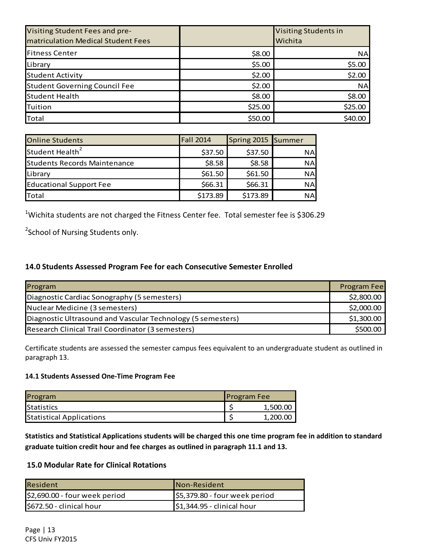| Visiting Student Fees and pre-       |         | <b>Visiting Students in</b> |
|--------------------------------------|---------|-----------------------------|
| matriculation Medical Student Fees   |         | Wichita                     |
| <b>Fitness Center</b>                | \$8.00  | <b>NA</b>                   |
| Library                              | \$5.00  | \$5.00                      |
| <b>Student Activity</b>              | \$2.00  | \$2.00                      |
| <b>Student Governing Council Fee</b> | \$2.00  | <b>NA</b>                   |
| <b>Student Health</b>                | \$8.00  | \$8.00                      |
| Tuition                              | \$25.00 | \$25.00                     |
| <b>Total</b>                         | \$50.00 | \$40.00                     |

| <b>Online Students</b>              | <b>Fall 2014</b> | Spring 2015 Summer |            |
|-------------------------------------|------------------|--------------------|------------|
| Student Health <sup>2</sup>         | \$37.50          | \$37.50            | <b>NAI</b> |
| <b>Students Records Maintenance</b> | \$8.58           | \$8.58             | <b>NA</b>  |
| Library                             | \$61.50          | \$61.50            | <b>NA</b>  |
| <b>Educational Support Fee</b>      | \$66.31          | \$66.31            | <b>NA</b>  |
| <b>T</b> otal                       | \$173.89         | \$173.89           | <b>NA</b>  |

<sup>1</sup>Wichita students are not charged the Fitness Center fee. Total semester fee is \$306.29

<sup>2</sup>School of Nursing Students only.

# **14.0 Students Assessed Program Fee for each Consecutive Semester Enrolled**

| Program                                                     | Program Fee |
|-------------------------------------------------------------|-------------|
| Diagnostic Cardiac Sonography (5 semesters)                 | \$2,800.00  |
| Nuclear Medicine (3 semesters)                              | \$2,000.00  |
| Diagnostic Ultrasound and Vascular Technology (5 semesters) | \$1,300.00  |
| Research Clinical Trail Coordinator (3 semesters)           | \$500.00    |

Certificate students are assessed the semester campus fees equivalent to an undergraduate student as outlined in paragraph 13.

#### **14.1 Students Assessed One-Time Program Fee**

| Program                         | <b>Program Fee</b> |          |
|---------------------------------|--------------------|----------|
| Statistics                      |                    | 1,500.00 |
| <b>Statistical Applications</b> |                    | 1,200.00 |

**Statistics and Statistical Applications students will be charged this one time program fee in addition to standard graduate tuition credit hour and fee charges as outlined in paragraph 11.1 and 13.** 

# **15.0 Modular Rate for Clinical Rotations**

| <b>Resident</b>               | Non-Resident                             |
|-------------------------------|------------------------------------------|
| \$2,690.00 - four week period | \$5,379.80 - four week period            |
| \$672.50 - clinical hour      | $\frac{1}{2}$ \$1,344.95 - clinical hour |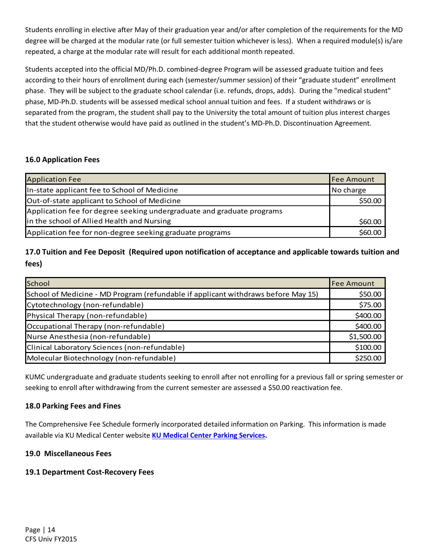Students enrolling in elective after May of their graduation year and/or after completion of the requirements for the MD degree will be charged at the modular rate (or full semester tuition whichever is less). When a required module(s) is/are repeated, a charge at the modular rate will result for each additional month repeated.

Students accepted into the official MD/Ph.D. combined-degree Program will be assessed graduate tuition and fees according to their hours of enrollment during each (semester/summer session) of their "graduate student" enrollment phase. They will be subject to the graduate school calendar (i.e. refunds, drops, adds). During the "medical student" phase, MD-Ph.D. students will be assessed medical school annual tuition and fees. If a student withdraws or is separated from the program, the student shall pay to the University the total amount of tuition plus interest charges that the student otherwise would have paid as outlined in the student's MD-Ph.D. Discontinuation Agreement.

# **16.0 Application Fees**

| <b>Application Fee</b>                                                 | Fee Amount |
|------------------------------------------------------------------------|------------|
| In-state applicant fee to School of Medicine                           | No charge  |
| Out-of-state applicant to School of Medicine                           | \$50.00    |
| Application fee for degree seeking undergraduate and graduate programs |            |
| in the school of Allied Health and Nursing                             | \$60.00    |
| Application fee for non-degree seeking graduate programs               | \$60.00    |

# **17.0 Tuition and Fee Deposit (Required upon notification of acceptance and applicable towards tuition and fees)**

| <b>School</b>                                                                     | <b>Fee Amount</b> |
|-----------------------------------------------------------------------------------|-------------------|
| School of Medicine - MD Program (refundable if applicant withdraws before May 15) | \$50.00           |
| Cytotechnology (non-refundable)                                                   | \$75.00           |
| Physical Therapy (non-refundable)                                                 | \$400.00          |
| Occupational Therapy (non-refundable)                                             | \$400.00          |
| Nurse Anesthesia (non-refundable)                                                 | \$1,500.00        |
| Clinical Laboratory Sciences (non-refundable)                                     | \$100.00          |
| Molecular Biotechnology (non-refundable)                                          | \$250.00          |

KUMC undergraduate and graduate students seeking to enroll after not enrolling for a previous fall or spring semester or seeking to enroll after withdrawing from the current semester are assessed a \$50.00 reactivation fee.

# **18.0 Parking Fees and Fines**

The Comprehensive Fee Schedule formerly incorporated detailed information on Parking. This information is made available via KU Medical Center website **KU Medical Center Parking Services.**

# **19.0 Miscellaneous Fees**

# **19.1 Department Cost-Recovery Fees**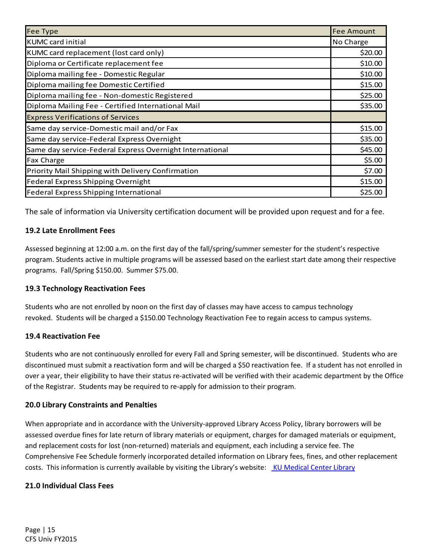| <b>Fee Type</b>                                          | <b>Fee Amount</b> |
|----------------------------------------------------------|-------------------|
| <b>KUMC</b> card initial                                 | No Charge         |
| KUMC card replacement (lost card only)                   | \$20.00           |
| Diploma or Certificate replacement fee                   | \$10.00           |
| Diploma mailing fee - Domestic Regular                   | \$10.00           |
| Diploma mailing fee Domestic Certified                   | \$15.00           |
| Diploma mailing fee - Non-domestic Registered            | \$25.00           |
| Diploma Mailing Fee - Certified International Mail       | \$35.00           |
| <b>Express Verifications of Services</b>                 |                   |
| Same day service-Domestic mail and/or Fax                | \$15.00           |
| Same day service-Federal Express Overnight               | \$35.00           |
| Same day service-Federal Express Overnight International | \$45.00           |
| <b>Fax Charge</b>                                        | \$5.00            |
| Priority Mail Shipping with Delivery Confirmation        | \$7.00            |
| Federal Express Shipping Overnight                       | \$15.00           |
| Federal Express Shipping International                   | \$25.00           |

The sale of information via University certification document will be provided upon request and for a fee.

# **19.2 Late Enrollment Fees**

Assessed beginning at 12:00 a.m. on the first day of the fall/spring/summer semester for the student's respective program. Students active in multiple programs will be assessed based on the earliest start date among their respective programs. Fall/Spring \$150.00. Summer \$75.00.

# **19.3 Technology Reactivation Fees**

Students who are not enrolled by noon on the first day of classes may have access to campus technology revoked. Students will be charged a \$150.00 Technology Reactivation Fee to regain access to campus systems.

# **19.4 Reactivation Fee**

Students who are not continuously enrolled for every Fall and Spring semester, will be discontinued. Students who are discontinued must submit a reactivation form and will be charged a \$50 reactivation fee. If a student has not enrolled in over a year, their eligibility to have their status re-activated will be verified with their academic department by the Office of the Registrar. Students may be required to re-apply for admission to their program.

# **20.0 Library Constraints and Penalties**

When appropriate and in accordance with the University-approved Library Access Policy, library borrowers will be assessed overdue fines for late return of library materials or equipment, charges for damaged materials or equipment, and replacement costs for lost (non-returned) materials and equipment, each including a service fee. The Comprehensive Fee Schedule formerly incorporated detailed information on Library fees, fines, and other replacement costs. This information is currently available by visiting the Library's website: KU Medical Center Library

# **21.0 Individual Class Fees**